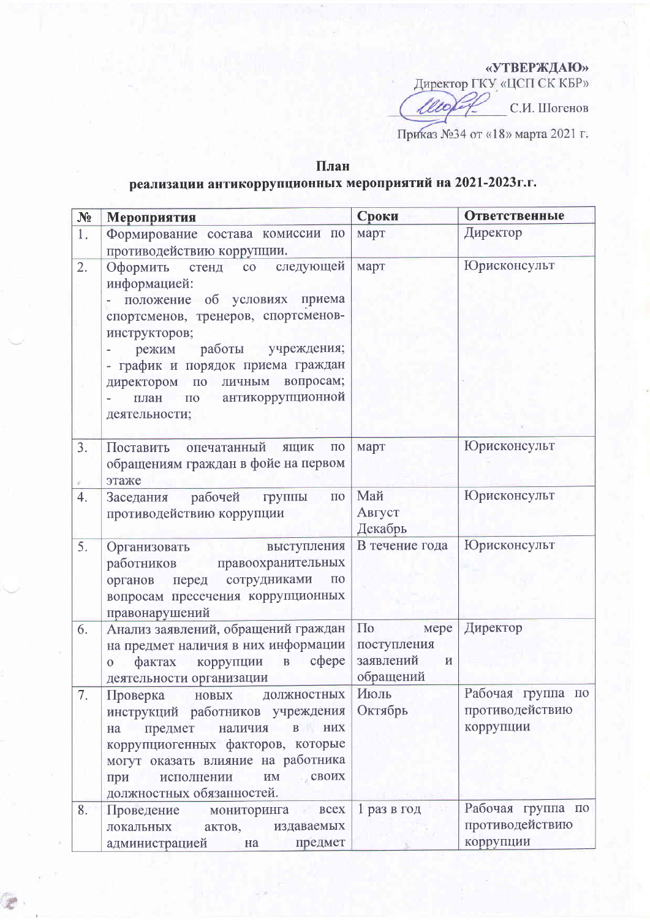«УТВЕРЖДАЮ»

Директор ГКУ «ЦСП СК КБР»

lle С.И. Шогенов

Приказ №34 от «18» марта 2021 г.

## План

## реализации антикоррупционных мероприятий на 2021-2023г.г.

| N <sub>2</sub> | Мероприятия                                                                                                                                                                                                                                                                               | Сроки                                                                    | <b>Ответственные</b>                              |
|----------------|-------------------------------------------------------------------------------------------------------------------------------------------------------------------------------------------------------------------------------------------------------------------------------------------|--------------------------------------------------------------------------|---------------------------------------------------|
| 1.             | Формирование состава комиссии по<br>противодействию коррупции.                                                                                                                                                                                                                            | март                                                                     | Директор                                          |
| 2.             | Оформить стенд со следующей<br>информацией:<br>- положение об условиях приема<br>спортсменов, тренеров, спортсменов-<br>инструкторов;<br>режим работы учреждения;<br>- график и порядок приема граждан<br>директором по личным вопросам;<br>по антикоррупционной<br>план<br>деятельности; | март                                                                     | Юрисконсульт                                      |
| 3.             | Поставить опечатанный ящик<br>$\Pi$ <sup>O</sup><br>обращениям граждан в фойе на первом<br>этаже                                                                                                                                                                                          | март                                                                     | Юрисконсульт                                      |
| 4.             | Заседания рабочей<br>группы по<br>противодействию коррупции                                                                                                                                                                                                                               | Май<br>Август<br>Декабрь                                                 | Юрисконсульт                                      |
| 5.             | Организовать выступления<br>работников правоохранительных<br>органов перед сотрудниками<br>$\Pi$ <sup>O</sup><br>вопросам пресечения коррупционных<br>правонарушений                                                                                                                      | В течение года                                                           | Юрисконсульт                                      |
| 6.             | Анализ заявлений, обращений граждан<br>на предмет наличия в них информации<br>фактах коррупции в сфере<br>$\overline{0}$<br>деятельности организации                                                                                                                                      | $\Pi$ <sub>0</sub><br>мере<br>поступления<br>заявлений<br>И<br>обращений | Директор                                          |
| 7.             | Проверка новых должностных<br>инструкций работников учреждения<br>на предмет наличия в них<br>коррупциогенных факторов, которые<br>могут оказать влияние на работника<br>им своих<br>исполнении<br>при<br>должностных обязанностей.                                                       | Июль<br>Октябрь                                                          | Рабочая группа по<br>противодействию<br>коррупции |
| 8.             | Проведение мониторинга всех<br>локальных актов, издаваемых<br>администрацией<br>предмет<br>на                                                                                                                                                                                             | 1 раз в год                                                              | Рабочая группа по<br>противодействию<br>коррупции |